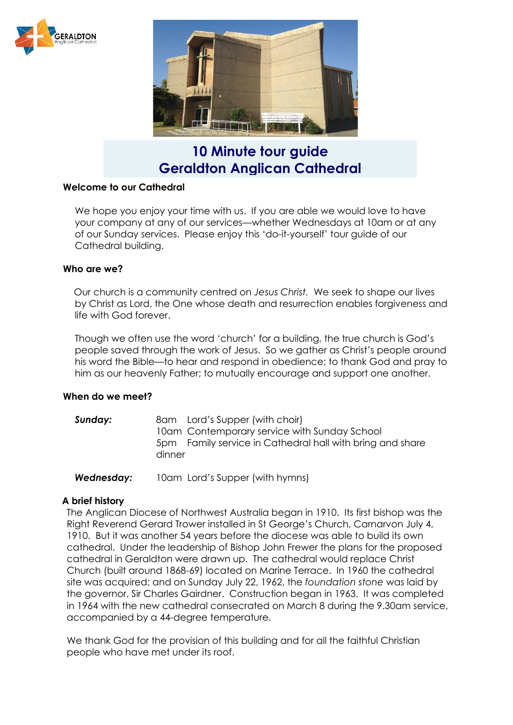



**10 Minute tour guide Geraldton Anglican Cathedral**

### **Welcome to our Cathedral**

We hope you enjoy your time with us. If you are able we would love to have your company at any of our services—whether Wednesdays at 10am or at any of our Sunday services. Please enjoy this 'do-it-yourself' tour guide of our Cathedral building.

#### **Who are we?**

Our church is a community centred on *Jesus Christ.* We seek to shape our lives by Christ as Lord, the One whose death and resurrection enables forgiveness and life with God forever.

Though we often use the word 'church' for a building, the true church is God's people saved through the work of Jesus. So we gather as Christ's people around his word the Bible—to hear and respond in obedience; to thank God and pray to him as our heavenly Father; to mutually encourage and support one another.

#### **When do we meet?**

**Sunday:** 8am Lord's Supper (with choir) 10am Contemporary service with Sunday School 5pm Family service in Cathedral hall with bring and share dinner

*Wednesday:* 10am Lord's Supper (with hymns)

#### **A brief history**

The Anglican Diocese of Northwest Australia began in 1910. Its first bishop was the Right Reverend Gerard Trower installed in St George's Church, Carnarvon July 4, 1910. But it was another 54 years before the diocese was able to build its own cathedral. Under the leadership of Bishop John Frewer the plans for the proposed cathedral in Geraldton were drawn up. The cathedral would replace Christ Church (built around 1868-69) located on Marine Terrace. In 1960 the cathedral site was acquired; and on Sunday July 22, 1962, the *foundation stone* was laid by the governor, Sir Charles Gairdner. Construction began in 1963. It was completed in 1964 with the new cathedral consecrated on March 8 during the 9.30am service, accompanied by a 44-degree temperature.

We thank God for the provision of this building and for all the faithful Christian people who have met under its roof.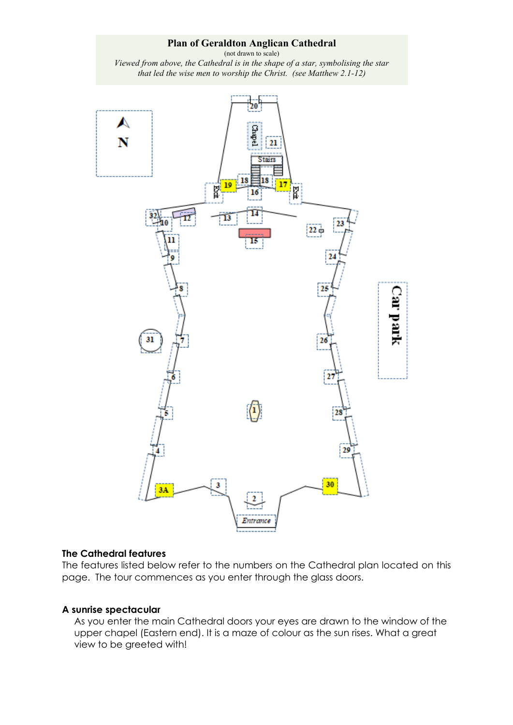### **Plan of Geraldton Anglican Cathedral**

(not drawn to scale) *Viewed from above, the Cathedral is in the shape of a star, symbolising the star that led the wise men to worship the Christ. (see Matthew 2.1-12)*



#### **The Cathedral features**

The features listed below refer to the numbers on the Cathedral plan located on this page. The tour commences as you enter through the glass doors.

### **A sunrise spectacular**

As you enter the main Cathedral doors your eyes are drawn to the window of the upper chapel (Eastern end). It is a maze of colour as the sun rises. What a great view to be greeted with!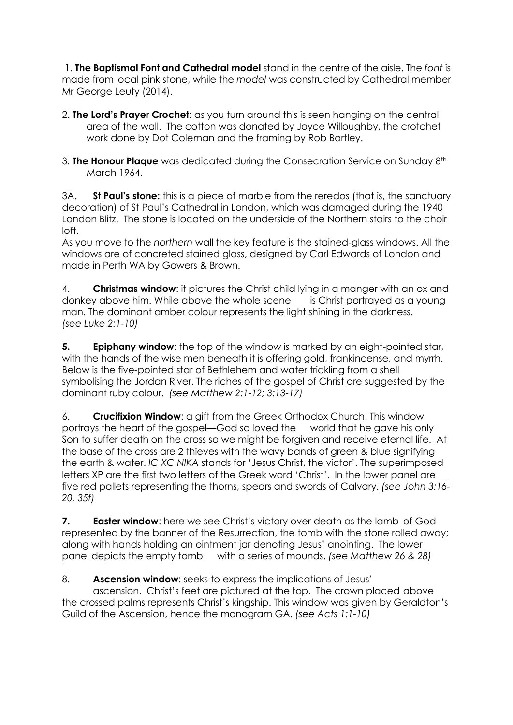1. **The Baptismal Font and Cathedral model** stand in the centre of the aisle. The *font* is made from local pink stone, while the *model* was constructed by Cathedral member Mr George Leuty (2014).

- 2. **The Lord's Prayer Crochet**: as you turn around this is seen hanging on the central area of the wall. The cotton was donated by Joyce Willoughby, the crotchet work done by Dot Coleman and the framing by Rob Bartley.
- 3. **The Honour Plaque** was dedicated during the Consecration Service on Sunday 8th March 1964.

3A. **St Paul's stone:** this is a piece of marble from the reredos (that is, the sanctuary decoration) of St Paul's Cathedral in London, which was damaged during the 1940 London Blitz. The stone is located on the underside of the Northern stairs to the choir loft.

As you move to the *northern* wall the key feature is the stained-glass windows. All the windows are of concreted stained glass, designed by Carl Edwards of London and made in Perth WA by Gowers & Brown.

4. **Christmas window**: it pictures the Christ child lying in a manger with an ox and donkey above him. While above the whole scene is Christ portrayed as a young man. The dominant amber colour represents the light shining in the darkness. *(see Luke 2:1-10)*

**5. Epiphany window**: the top of the window is marked by an eight-pointed star, with the hands of the wise men beneath it is offering gold, frankincense, and myrrh. Below is the five-pointed star of Bethlehem and water trickling from a shell symbolising the Jordan River. The riches of the gospel of Christ are suggested by the dominant ruby colour. *(see Matthew 2:1-12; 3:13-17)*

6. **Crucifixion Window**: a gift from the Greek Orthodox Church. This window portrays the heart of the gospel—God so loved the world that he gave his only Son to suffer death on the cross so we might be forgiven and receive eternal life. At the base of the cross are 2 thieves with the wavy bands of green & blue signifying the earth & water. *IC XC NIKA* stands for 'Jesus Christ, the victor'. The superimposed letters XP are the first two letters of the Greek word 'Christ'. In the lower panel are five red pallets representing the thorns, spears and swords of Calvary. *(see John 3:16- 20, 35f)*

**7. Easter window**: here we see Christ's victory over death as the lamb of God represented by the banner of the Resurrection, the tomb with the stone rolled away; along with hands holding an ointment jar denoting Jesus' anointing. The lower panel depicts the empty tomb with a series of mounds. *(see Matthew 26 & 28)* 

## 8. **Ascension window**: seeks to express the implications of Jesus'

ascension. Christ's feet are pictured at the top. The crown placed above the crossed palms represents Christ's kingship. This window was given by Geraldton's Guild of the Ascension, hence the monogram GA. *(see Acts 1:1-10)*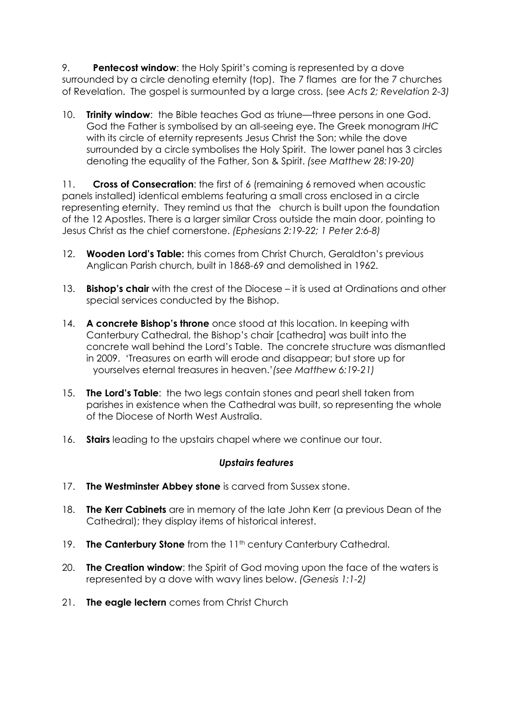9. **Pentecost window**: the Holy Spirit's coming is represented by a dove surrounded by a circle denoting eternity (top). The 7 flames are for the 7 churches of Revelation. The gospel is surmounted by a large cross. (see *Acts 2; Revelation 2-3)*

10. **Trinity window**: the Bible teaches God as triune—three persons in one God. God the Father is symbolised by an all-seeing eye. The Greek monogram *IHC* with its circle of eternity represents Jesus Christ the Son; while the dove surrounded by a circle symbolises the Holy Spirit. The lower panel has 3 circles denoting the equality of the Father, Son & Spirit. *(see Matthew 28:19-20)*

11. **Cross of Consecration**: the first of 6 (remaining 6 removed when acoustic panels installed) identical emblems featuring a small cross enclosed in a circle representing eternity. They remind us that the church is built upon the foundation of the 12 Apostles. There is a larger similar Cross outside the main door, pointing to Jesus Christ as the chief cornerstone. *(Ephesians 2:19-22; 1 Peter 2:6-8)*

- 12. **Wooden Lord's Table:** this comes from Christ Church, Geraldton's previous Anglican Parish church, built in 1868-69 and demolished in 1962.
- 13. **Bishop's chair** with the crest of the Diocese it is used at Ordinations and other special services conducted by the Bishop.
- 14. **A concrete Bishop's throne** once stood at this location. In keeping with Canterbury Cathedral, the Bishop's chair [cathedra] was built into the concrete wall behind the Lord's Table. The concrete structure was dismantled in 2009. 'Treasures on earth will erode and disappear; but store up for yourselves eternal treasures in heaven.'*(see Matthew 6:19-21)*
- 15. **The Lord's Table**: the two legs contain stones and pearl shell taken from parishes in existence when the Cathedral was built, so representing the whole of the Diocese of North West Australia.
- 16. **Stairs** leading to the upstairs chapel where we continue our tour.

## *Upstairs features*

- 17. **The Westminster Abbey stone** is carved from Sussex stone.
- 18. **The Kerr Cabinets** are in memory of the late John Kerr (a previous Dean of the Cathedral); they display items of historical interest.
- 19. **The Canterbury Stone** from the 11<sup>th</sup> century Canterbury Cathedral.
- 20. **The Creation window**: the Spirit of God moving upon the face of the waters is represented by a dove with wavy lines below. *(Genesis 1:1-2)*
- 21. **The eagle lectern** comes from Christ Church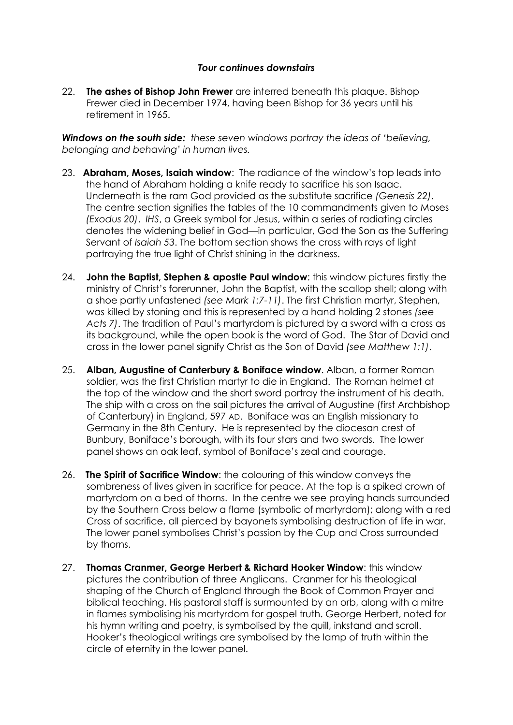## *Tour continues downstairs*

22. **The ashes of Bishop John Frewer** are interred beneath this plaque. Bishop Frewer died in December 1974, having been Bishop for 36 years until his retirement in 1965.

*Windows on the south side: these seven windows portray the ideas of 'believing, belonging and behaving' in human lives.*

- 23. **Abraham, Moses, Isaiah window**: The radiance of the window's top leads into the hand of Abraham holding a knife ready to sacrifice his son Isaac. Underneath is the ram God provided as the substitute sacrifice *(Genesis 22)*. The centre section signifies the tables of the 10 commandments given to Moses *(Exodus 20)*. *IHS*, a Greek symbol for Jesus, within a series of radiating circles denotes the widening belief in God—in particular, God the Son as the Suffering Servant of *Isaiah 53*. The bottom section shows the cross with rays of light portraying the true light of Christ shining in the darkness.
- 24. **John the Baptist, Stephen & apostle Paul window**: this window pictures firstly the ministry of Christ's forerunner, John the Baptist, with the scallop shell; along with a shoe partly unfastened *(see Mark 1:7-11)*. The first Christian martyr, Stephen, was killed by stoning and this is represented by a hand holding 2 stones *(see Acts 7)*. The tradition of Paul's martyrdom is pictured by a sword with a cross as its background, while the open book is the word of God. The Star of David and cross in the lower panel signify Christ as the Son of David *(see Matthew 1:1)*.
- 25. **Alban, Augustine of Canterbury & Boniface window**. Alban, a former Roman soldier, was the first Christian martyr to die in England. The Roman helmet at the top of the window and the short sword portray the instrument of his death. The ship with a cross on the sail pictures the arrival of Augustine (first Archbishop of Canterbury) in England, 597 AD. Boniface was an English missionary to Germany in the 8th Century. He is represented by the diocesan crest of Bunbury, Boniface's borough, with its four stars and two swords. The lower panel shows an oak leaf, symbol of Boniface's zeal and courage.
- 26. **The Spirit of Sacrifice Window**: the colouring of this window conveys the sombreness of lives given in sacrifice for peace. At the top is a spiked crown of martyrdom on a bed of thorns. In the centre we see praying hands surrounded by the Southern Cross below a flame (symbolic of martyrdom); along with a red Cross of sacrifice, all pierced by bayonets symbolising destruction of life in war. The lower panel symbolises Christ's passion by the Cup and Cross surrounded by thorns.
- 27. **Thomas Cranmer, George Herbert & Richard Hooker Window**: this window pictures the contribution of three Anglicans. Cranmer for his theological shaping of the Church of England through the Book of Common Prayer and biblical teaching. His pastoral staff is surmounted by an orb, along with a mitre in flames symbolising his martyrdom for gospel truth. George Herbert, noted for his hymn writing and poetry, is symbolised by the quill, inkstand and scroll. Hooker's theological writings are symbolised by the lamp of truth within the circle of eternity in the lower panel.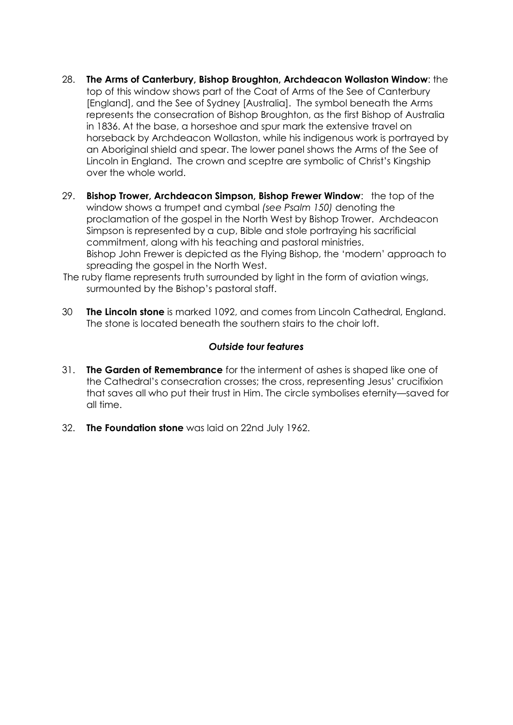- 28. **The Arms of Canterbury, Bishop Broughton, Archdeacon Wollaston Window**: the top of this window shows part of the Coat of Arms of the See of Canterbury [England], and the See of Sydney [Australia]. The symbol beneath the Arms represents the consecration of Bishop Broughton, as the first Bishop of Australia in 1836. At the base, a horseshoe and spur mark the extensive travel on horseback by Archdeacon Wollaston, while his indigenous work is portrayed by an Aboriginal shield and spear. The lower panel shows the Arms of the See of Lincoln in England. The crown and sceptre are symbolic of Christ's Kingship over the whole world.
- 29. **Bishop Trower, Archdeacon Simpson, Bishop Frewer Window**: the top of the window shows a trumpet and cymbal *(see Psalm 150)* denoting the proclamation of the gospel in the North West by Bishop Trower. Archdeacon Simpson is represented by a cup, Bible and stole portraying his sacrificial commitment, along with his teaching and pastoral ministries. Bishop John Frewer is depicted as the Flying Bishop, the 'modern' approach to spreading the gospel in the North West.
- The ruby flame represents truth surrounded by light in the form of aviation wings, surmounted by the Bishop's pastoral staff.
- 30 **The Lincoln stone** is marked 1092, and comes from Lincoln Cathedral, England. The stone is located beneath the southern stairs to the choir loft.

### *Outside tour features*

- 31. **The Garden of Remembrance** for the interment of ashes is shaped like one of the Cathedral's consecration crosses; the cross, representing Jesus' crucifixion that saves all who put their trust in Him. The circle symbolises eternity—saved for all time.
- 32. **The Foundation stone** was laid on 22nd July 1962.